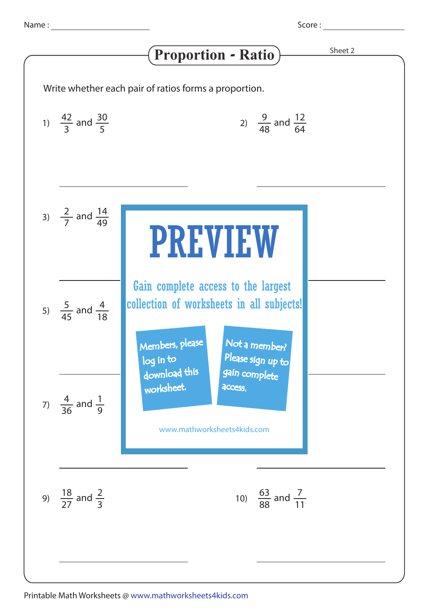